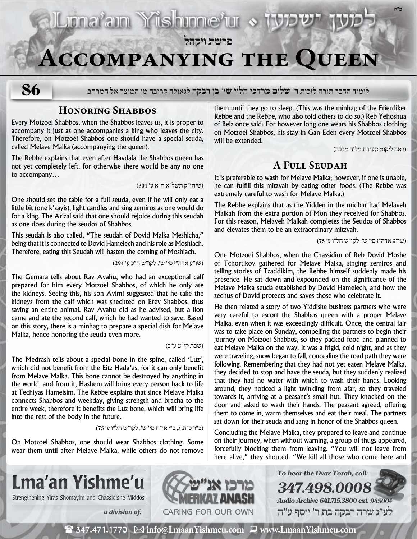## **פרשת ויקהל**

# **Accompanying the Queen**

**86**

לימוד הדבר תורה לזכות **ר' שלום מרדכי הלוי שי' בן רבקה** לגאולה קרובה מן המיצר אל המרחב

### **Honoring Shabbos**

Every Motzoei Shabbos, when the Shabbos leaves us, it is proper to accompany it just as one accompanies a king who leaves the city. Therefore, on Motzoei Shabbos one should have a special seuda, called Melave Malka (accompanying the queen).

The Rebbe explains that even after Havdala the Shabbos queen has not yet completely left, for otherwise there would be any no one to accompany…

)שיחו״ק תשל״א ח״א ע׳ 301(

**Elumaram Yishinneru & 197** 

One should set the table for a full seuda, even if he will only eat a little bit (one k'zayis), light candles and sing zemiros as one would do for a king. The Arizal said that one should rejoice during this seudah as one does during the seudos of Shabbos.

This seudah is also called, "The seudah of Dovid Malka Meshicha," being that it is connected to Dovid Hamelech and his role as Moshiach. Therefore, eating this Seudah will hasten the coming of Moshiach.

)שו״ע אדה״ז סי׳ ש׳, לקו״ש ח״כ ע׳ 294(

The Gemara tells about Rav Avahu, who had an exceptional calf prepared for him every Motzoei Shabbos, of which he only ate the kidneys. Seeing this, his son Avimi suggested that he take the kidneys from the calf which was shechted on Erev Shabbos, thus saving an entire animal. Rav Avahu did as he advised, but a lion came and ate the second calf, which he had wanted to save. Based on this story, there is a minhag to prepare a special dish for Melave Malka, hence honoring the seuda even more.

#### )שבת קי״ט ע״ב(

The Medrash tells about a special bone in the spine, called 'Luz', which did not benefit from the Eitz Hada'as, for it can only benefit from Melave Malka. This bone cannot be destroyed by anything in the world, and from it, Hashem will bring every person back to life at Techiyas Hameisim. The Rebbe explains that since Melave Malka connects Shabbos and weekday, giving strength and bracha to the entire week, therefore it benefits the Luz bone, which will bring life into the rest of the body in the future.

)ב״ר כ״ה, ג, ב״י או״ח סי׳ ש׳, לקו״ש חל״ו ע׳ 75(

On Motzoei Shabbos, one should wear Shabbos clothing. Some wear them until after Melave Malka, while others do not remove them until they go to sleep. (This was the minhag of the Frierdiker Rebbe and the Rebbe, who also told others to do so.) Reb Yehoshua of Belz once said: For however long one wears his Shabbos clothing on Motzoei Shabbos, his stay in Gan Eden every Motzoei Shabbos will be extended.

)ראה ליקוט סעודת מלוה מלכה(

**ב"ה**

## **A Full Seudah**

It is preferable to wash for Melave Malka; however, if one is unable, he can fulfill this mitzvah by eating other foods. (The Rebbe was extremely careful to wash for Melave Malka.)

The Rebbe explains that as the Yidden in the midbar had Melaveh Malkah from the extra portion of Mon they received for Shabbos. For this reason, Melaveh Malkah completes the Seudos of Shabbos and elevates them to be an extraordinary mitzvah.

)שו״ע אדה״ז סי׳ ש׳, לקו״ש חל״ו ע׳ 75(

One Motzoei Shabbos, when the Chassidim of Reb Dovid Moshe of Tchortikov gathered for Melave Malka, singing zemiros and telling stories of Tzaddikim, the Rebbe himself suddenly made his presence. He sat down and expounded on the significance of the Melave Malka seuda established by Dovid Hamelech, and how the zechus of Dovid protects and saves those who celebrate it.

He then related a story of two Yiddishe business partners who were very careful to escort the Shabbos queen with a proper Melave Malka, even when it was exceedingly difficult. Once, the central fair was to take place on Sunday, compelling the partners to begin their journey on Motzoei Shabbos, so they packed food and planned to eat Melave Malka on the way. It was a frigid, cold night, and as they were traveling, snow began to fall, concealing the road path they were following. Remembering that they had not yet eaten Melave Malka, they decided to stop and have the seuda, but they suddenly realized that they had no water with which to wash their hands. Looking around, they noticed a light twinkling from afar, so they traveled towards it, arriving at a peasant's small hut. They knocked on the door and asked to wash their hands. The peasant agreed, offering them to come in, warm themselves and eat their meal. The partners sat down for their seuda and sang in honor of the Shabbos queen.

Concluding the Melave Malka, they prepared to leave and continue on their journey, when without warning, a group of thugs appeared, forcefully blocking them from leaving. "You will not leave from here alive," they shouted. "We kill all those who come here and

**To hear the Dvar Torah, call:**

**347.498.0008**

**Audio Archive 641.715.3800 ext. 94500# לע"נ שרה רבקה בת ר׳ יוסף ע"ה**



Strengthening Yiras Shomayim and Chassidishe Middos **NAMERKAY ANASH** 



 $\mathbf{\hat{\mathbf{z}}}$  347.471.1770  $\boxtimes$  info@LmaanYishmeu.com  $\mathbf{\Xi}$  www.LmaanYishmeu.com